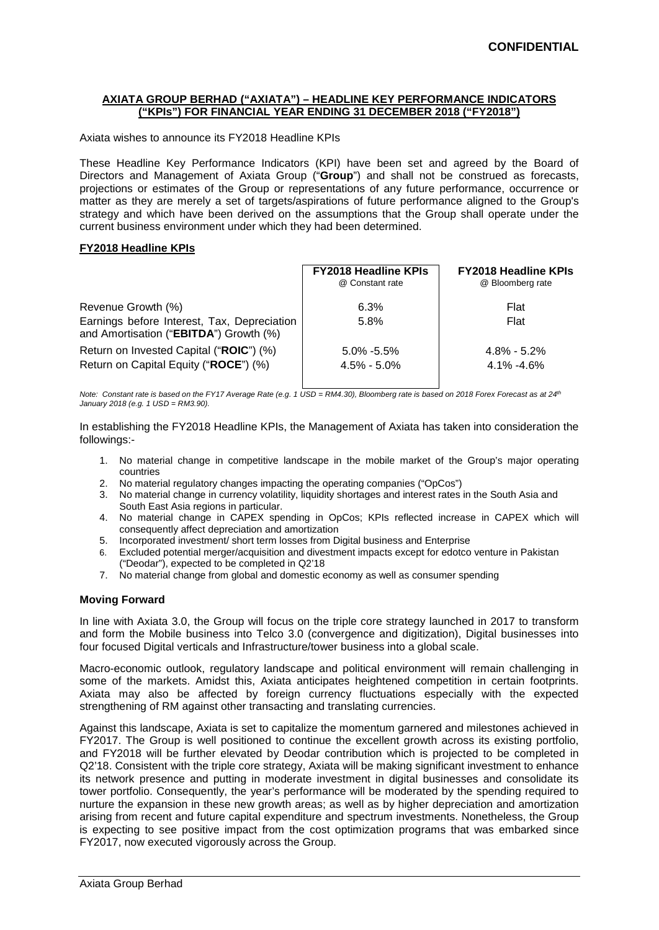## **AXIATA GROUP BERHAD ("AXIATA") – HEADLINE KEY PERFORMANCE INDICATORS ("KPIs") FOR FINANCIAL YEAR ENDING 31 DECEMBER 2018 ("FY2018")**

Axiata wishes to announce its FY2018 Headline KPIs

These Headline Key Performance Indicators (KPI) have been set and agreed by the Board of Directors and Management of Axiata Group ("**Group**") and shall not be construed as forecasts, projections or estimates of the Group or representations of any future performance, occurrence or matter as they are merely a set of targets/aspirations of future performance aligned to the Group's strategy and which have been derived on the assumptions that the Group shall operate under the current business environment under which they had been determined.

## **FY2018 Headline KPIs**

|                                                                                       | <b>FY2018 Headline KPIs</b><br>@ Constant rate | <b>FY2018 Headline KPIs</b><br>@ Bloomberg rate |  |
|---------------------------------------------------------------------------------------|------------------------------------------------|-------------------------------------------------|--|
| Revenue Growth (%)                                                                    | 6.3%                                           | Flat                                            |  |
| Earnings before Interest, Tax, Depreciation<br>and Amortisation ("EBITDA") Growth (%) | 5.8%                                           | Flat                                            |  |
| Return on Invested Capital ("ROIC") (%)                                               | $5.0\% - 5.5\%$                                | $4.8\% - 5.2\%$                                 |  |
| Return on Capital Equity ("ROCE") (%)                                                 | $4.5\% - 5.0\%$                                | $4.1\% - 4.6\%$                                 |  |

*Note: Constant rate is based on the FY17 Average Rate (e.g. 1 USD = RM4.30), Bloomberg rate is based on 2018 Forex Forecast as at 24th January 2018 (e.g. 1 USD = RM3.90).* 

In establishing the FY2018 Headline KPIs, the Management of Axiata has taken into consideration the followings:-

- 1. No material change in competitive landscape in the mobile market of the Group's major operating countries
- 2. No material regulatory changes impacting the operating companies ("OpCos")
- 3. No material change in currency volatility, liquidity shortages and interest rates in the South Asia and South East Asia regions in particular.
- 4. No material change in CAPEX spending in OpCos; KPIs reflected increase in CAPEX which will consequently affect depreciation and amortization
- 5. Incorporated investment/ short term losses from Digital business and Enterprise
- 6. Excluded potential merger/acquisition and divestment impacts except for edotco venture in Pakistan ("Deodar"), expected to be completed in Q2'18
- 7. No material change from global and domestic economy as well as consumer spending

## **Moving Forward**

In line with Axiata 3.0, the Group will focus on the triple core strategy launched in 2017 to transform and form the Mobile business into Telco 3.0 (convergence and digitization), Digital businesses into four focused Digital verticals and Infrastructure/tower business into a global scale.

Macro-economic outlook, regulatory landscape and political environment will remain challenging in some of the markets. Amidst this, Axiata anticipates heightened competition in certain footprints. Axiata may also be affected by foreign currency fluctuations especially with the expected strengthening of RM against other transacting and translating currencies.

Against this landscape, Axiata is set to capitalize the momentum garnered and milestones achieved in FY2017. The Group is well positioned to continue the excellent growth across its existing portfolio, and FY2018 will be further elevated by Deodar contribution which is projected to be completed in Q2'18. Consistent with the triple core strategy, Axiata will be making significant investment to enhance its network presence and putting in moderate investment in digital businesses and consolidate its tower portfolio. Consequently, the year's performance will be moderated by the spending required to nurture the expansion in these new growth areas; as well as by higher depreciation and amortization arising from recent and future capital expenditure and spectrum investments. Nonetheless, the Group is expecting to see positive impact from the cost optimization programs that was embarked since FY2017, now executed vigorously across the Group.